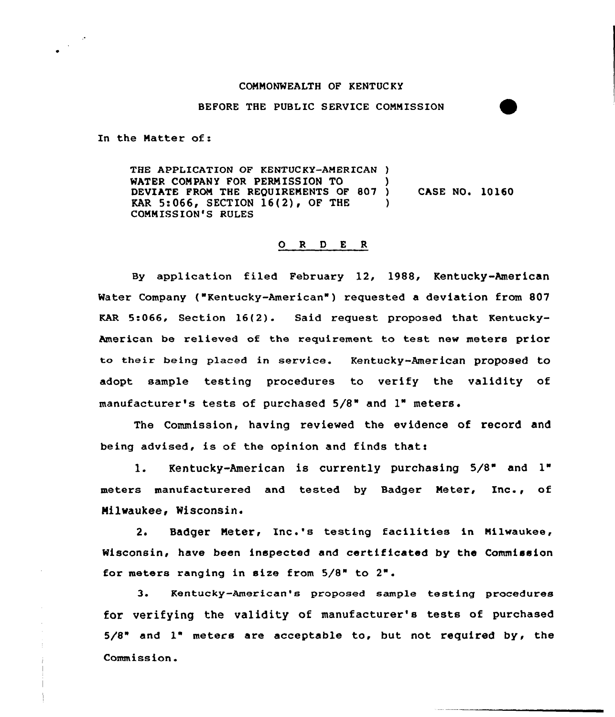## CONNONMEALTH OF KENTUC KY

## BEFORE THE PUBLIC SERVICE COMMISSION

In the Natter of:

THE APPLICATION OF KENTUCKY-AMERICAN ) WATER COMPANY FOR PERMISSION TO DEVIATE FROM THE REQUIREMENTS OF 807 ) KAR 5:066, SECTION 16(2), OF THE ) CONNISSION'S RULES CASE NO. 10160

## 0 <sup>R</sup> <sup>D</sup> E <sup>R</sup>

By application filed February 12, 1988, Kentucky-American Water Company ("Kentucky-American") requested a deviation from 807 KAR 5:066, Section 16{2). Said xequest proposed that Kentucky-American be relieved of the requirement to test new meters prior to their being placed in service. Kentucky-American proposed to adopt sample testing procedures to verify the validity of manufacturer's tests of purchased 5/S" and 1"

Commission, having reviewed the evidence of record and being advised, is of the opinion and finds that:

l. Kentucky-American is currently puxchasing 5/8" and 1" meters manufacturered and tested by Badger Meter, Inc., of Milwaukee, Wisconsin.

2. Badger Neter< Inc.'s testing facilities in Milwaukee, Wisconsin, have been inspected and certificated by the Commission for meters ranging in size from 5/8" to 2".

3. Kentucky-American's proposed sample testing procedures for verifying the validity of manufacturer's tests of purchased 5/8" and 1" meters are acceptable to, but not required by, the Commission.